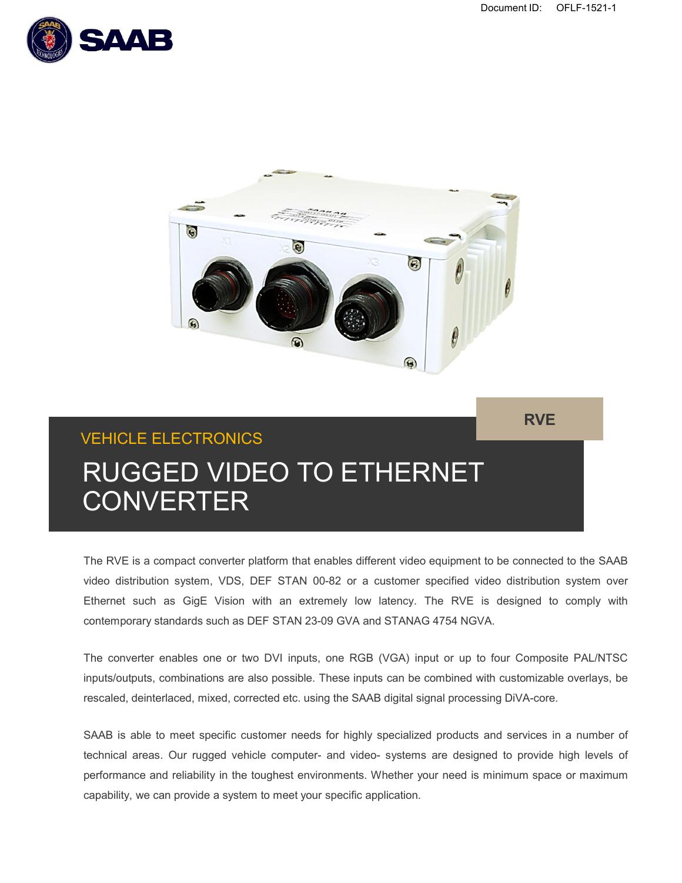**RVE**





# VEHICLE ELECTRONICS RUGGED VIDEO TO ETHERNET **CONVERTER**

The RVE is a compact converter platform that enables different video equipment to be connected to the SAAB video distribution system, VDS, DEF STAN 00-82 or a customer specified video distribution system over Ethernet such as GigE Vision with an extremely low latency. The RVE is designed to comply with contemporary standards such as DEF STAN 23-09 GVA and STANAG 4754 NGVA.

The converter enables one or two DVI inputs, one RGB (VGA) input or up to four Composite PAL/NTSC inputs/outputs, combinations are also possible. These inputs can be combined with customizable overlays, be rescaled, deinterlaced, mixed, corrected etc. using the SAAB digital signal processing DiVA-core.

SAAB is able to meet specific customer needs for highly specialized products and services in a number of technical areas. Our rugged vehicle computer- and video- systems are designed to provide high levels of performance and reliability in the toughest environments. Whether your need is minimum space or maximum capability, we can provide a system to meet your specific application.